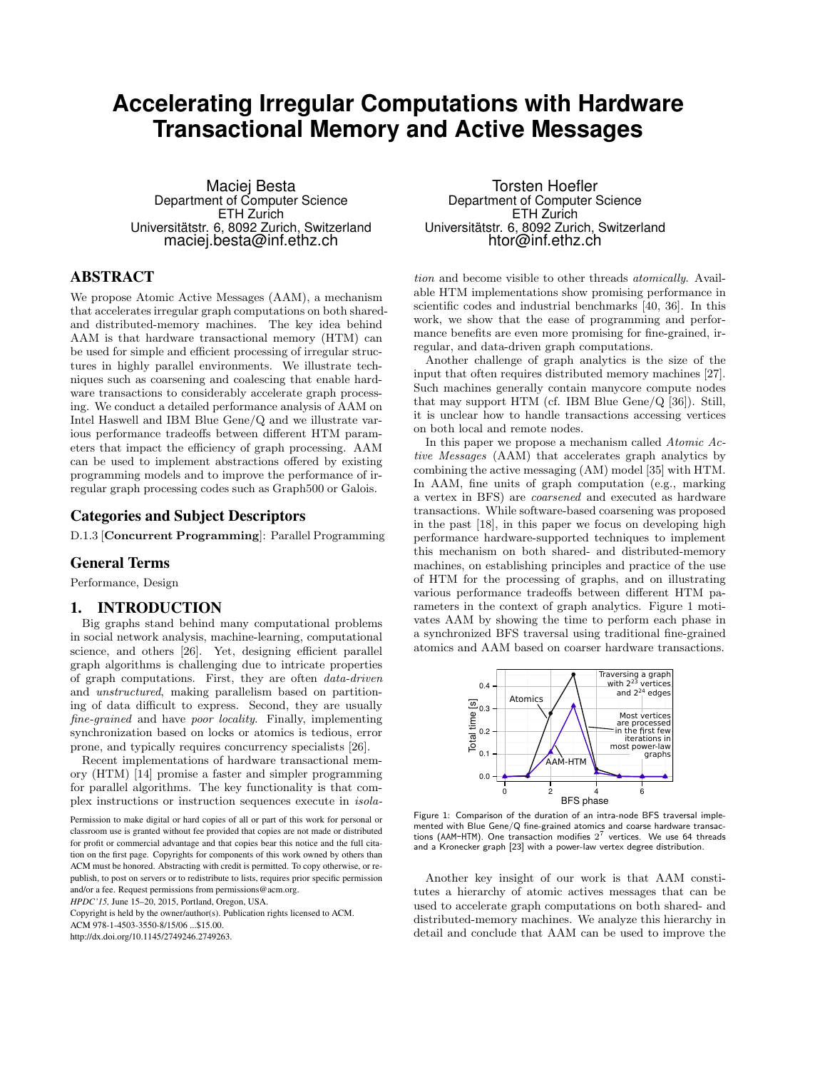# **Accelerating Irregular Computations with Hardware Transactional Memory and Active Messages**

Maciej Besta Department of Computer Science ETH Zurich Universitätstr. 6, 8092 Zurich, Switzerland maciej.besta@inf.ethz.ch

# ABSTRACT

We propose Atomic Active Messages (AAM), a mechanism that accelerates irregular graph computations on both sharedand distributed-memory machines. The key idea behind AAM is that hardware transactional memory (HTM) can be used for simple and efficient processing of irregular structures in highly parallel environments. We illustrate techniques such as coarsening and coalescing that enable hardware transactions to considerably accelerate graph processing. We conduct a detailed performance analysis of AAM on Intel Haswell and IBM Blue Gene/Q and we illustrate various performance tradeoffs between different HTM parameters that impact the efficiency of graph processing. AAM can be used to implement abstractions offered by existing programming models and to improve the performance of irregular graph processing codes such as Graph500 or Galois.

# Categories and Subject Descriptors

D.1.3 [Concurrent Programming]: Parallel Programming

# General Terms

Performance, Design

# 1. INTRODUCTION

Big graphs stand behind many computational problems in social network analysis, machine-learning, computational science, and others [26]. Yet, designing efficient parallel graph algorithms is challenging due to intricate properties of graph computations. First, they are often data-driven and unstructured, making parallelism based on partitioning of data difficult to express. Second, they are usually fine-grained and have poor locality. Finally, implementing synchronization based on locks or atomics is tedious, error prone, and typically requires concurrency specialists [26].

Recent implementations of hardware transactional memory (HTM) [14] promise a faster and simpler programming for parallel algorithms. The key functionality is that complex instructions or instruction sequences execute in isola-

Permission to make digital or hard copies of all or part of this work for personal or classroom use is granted without fee provided that copies are not made or distributed for profit or commercial advantage and that copies bear this notice and the full citation on the first page. Copyrights for components of this work owned by others than ACM must be honored. Abstracting with credit is permitted. To copy otherwise, or republish, to post on servers or to redistribute to lists, requires prior specific permission and/or a fee. Request permissions from permissions@acm.org.

*HPDC'15,* June 15–20, 2015, Portland, Oregon, USA.

Copyright is held by the owner/author(s). Publication rights licensed to ACM. ACM 978-1-4503-3550-8/15/06 ...\$15.00.

http://dx.doi.org/10.1145/2749246.2749263.

Torsten Hoefler Department of Computer Science ETH Zurich Universitätstr. 6, 8092 Zurich, Switzerland htor@inf.ethz.ch

tion and become visible to other threads atomically. Available HTM implementations show promising performance in scientific codes and industrial benchmarks [40, 36]. In this work, we show that the ease of programming and performance benefits are even more promising for fine-grained, irregular, and data-driven graph computations.

Another challenge of graph analytics is the size of the input that often requires distributed memory machines [27]. Such machines generally contain manycore compute nodes that may support HTM (cf. IBM Blue Gene/Q [36]). Still, it is unclear how to handle transactions accessing vertices on both local and remote nodes.

In this paper we propose a mechanism called Atomic Active Messages (AAM) that accelerates graph analytics by combining the active messaging (AM) model [35] with HTM. In AAM, fine units of graph computation (e.g., marking a vertex in BFS) are coarsened and executed as hardware transactions. While software-based coarsening was proposed in the past [18], in this paper we focus on developing high performance hardware-supported techniques to implement this mechanism on both shared- and distributed-memory machines, on establishing principles and practice of the use of HTM for the processing of graphs, and on illustrating various performance tradeoffs between different HTM parameters in the context of graph analytics. Figure 1 motivates AAM by showing the time to perform each phase in a synchronized BFS traversal using traditional fine-grained atomics and AAM based on coarser hardware transactions.



Figure 1: Comparison of the duration of an intra-node BFS traversal implemented with Blue Gene/Q fine-grained atomics and coarse hardware transactions (AAM-HTM). One transaction modifies  $2^7$  vertices. We use 64 threads and a Kronecker graph [23] with a power-law vertex degree distribution.

Another key insight of our work is that AAM constitutes a hierarchy of atomic actives messages that can be used to accelerate graph computations on both shared- and distributed-memory machines. We analyze this hierarchy in detail and conclude that AAM can be used to improve the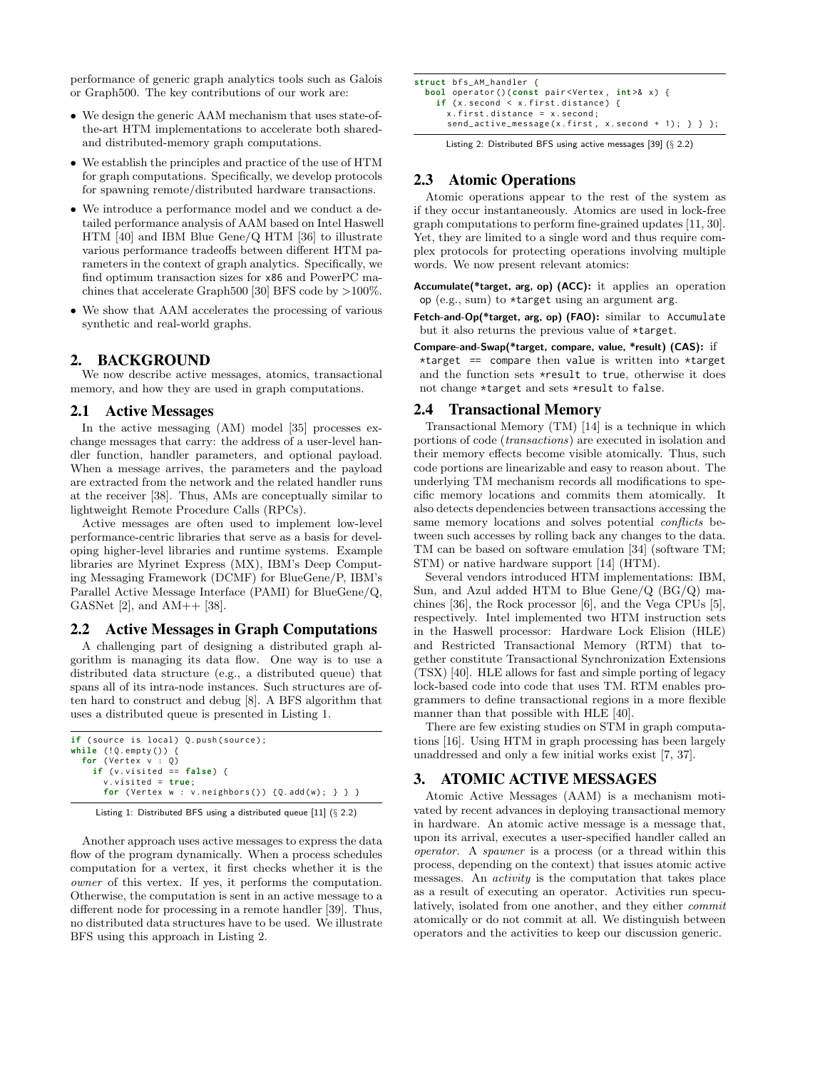performance of generic graph analytics tools such as Galois or Graph500. The key contributions of our work are:

- We design the generic AAM mechanism that uses state-ofthe-art HTM implementations to accelerate both sharedand distributed-memory graph computations.
- We establish the principles and practice of the use of HTM for graph computations. Specifically, we develop protocols for spawning remote/distributed hardware transactions.
- We introduce a performance model and we conduct a detailed performance analysis of AAM based on Intel Haswell HTM [40] and IBM Blue Gene/Q HTM [36] to illustrate various performance tradeoffs between different HTM parameters in the context of graph analytics. Specifically, we find optimum transaction sizes for x86 and PowerPC machines that accelerate Graph500 [30] BFS code by >100%.
- We show that AAM accelerates the processing of various synthetic and real-world graphs.

# 2. BACKGROUND

We now describe active messages, atomics, transactional memory, and how they are used in graph computations.

# 2.1 Active Messages

In the active messaging (AM) model [35] processes exchange messages that carry: the address of a user-level handler function, handler parameters, and optional payload. When a message arrives, the parameters and the payload are extracted from the network and the related handler runs at the receiver [38]. Thus, AMs are conceptually similar to lightweight Remote Procedure Calls (RPCs).

Active messages are often used to implement low-level performance-centric libraries that serve as a basis for developing higher-level libraries and runtime systems. Example libraries are Myrinet Express (MX), IBM's Deep Computing Messaging Framework (DCMF) for BlueGene/P, IBM's Parallel Active Message Interface (PAMI) for BlueGene/Q, GASNet  $[2]$ , and  $AM++$   $[38]$ .

#### 2.2 Active Messages in Graph Computations

A challenging part of designing a distributed graph algorithm is managing its data flow. One way is to use a distributed data structure (e.g., a distributed queue) that spans all of its intra-node instances. Such structures are often hard to construct and debug [8]. A BFS algorithm that uses a distributed queue is presented in Listing 1.

```
if (source is local) Q.push(source);
while (!Q.empty()) {\n    for (Vertex v : Q)}if (v.visited == false)v. v isited = true;for ( Vertex w : v . neighbors () ) { Q . add ( w ) ; } } }
```


Another approach uses active messages to express the data flow of the program dynamically. When a process schedules computation for a vertex, it first checks whether it is the owner of this vertex. If yes, it performs the computation. Otherwise, the computation is sent in an active message to a different node for processing in a remote handler [39]. Thus, no distributed data structures have to be used. We illustrate BFS using this approach in Listing 2.

| <b>struct</b> bfs_AM_handler {                                                   |  |  |  |
|----------------------------------------------------------------------------------|--|--|--|
| <b>bool</b> operator()(const pair <vertex, <math="">int &gt;&amp; x) {</vertex,> |  |  |  |
| if $(x.\,second \leq x.\,first.\,distance)$ {                                    |  |  |  |
| $x. first. distance = x. second:$                                                |  |  |  |
| send_active_message(x.first, x.second + 1); $\}$ };                              |  |  |  |

Listing 2: Distributed BFS using active messages [39] (§ 2.2)

# 2.3 Atomic Operations

Atomic operations appear to the rest of the system as if they occur instantaneously. Atomics are used in lock-free graph computations to perform fine-grained updates [11, 30]. Yet, they are limited to a single word and thus require complex protocols for protecting operations involving multiple words. We now present relevant atomics:

Accumulate(\*target, arg, op) (ACC): it applies an operation op (e.g., sum) to \*target using an argument arg.

Fetch-and-Op(\*target, arg, op) (FAO): similar to Accumulate but it also returns the previous value of \*target.

Compare-and-Swap(\*target, compare, value, \*result) (CAS): if

\*target  $==$  compare then value is written into \*target and the function sets \*result to true, otherwise it does not change \*target and sets \*result to false.

# 2.4 Transactional Memory

Transactional Memory (TM) [14] is a technique in which portions of code (transactions) are executed in isolation and their memory effects become visible atomically. Thus, such code portions are linearizable and easy to reason about. The underlying TM mechanism records all modifications to specific memory locations and commits them atomically. It also detects dependencies between transactions accessing the same memory locations and solves potential *conflicts* between such accesses by rolling back any changes to the data. TM can be based on software emulation [34] (software TM; STM) or native hardware support [14] (HTM).

Several vendors introduced HTM implementations: IBM, Sun, and Azul added HTM to Blue Gene/Q (BG/Q) machines [36], the Rock processor [6], and the Vega CPUs [5], respectively. Intel implemented two HTM instruction sets in the Haswell processor: Hardware Lock Elision (HLE) and Restricted Transactional Memory (RTM) that together constitute Transactional Synchronization Extensions (TSX) [40]. HLE allows for fast and simple porting of legacy lock-based code into code that uses TM. RTM enables programmers to define transactional regions in a more flexible manner than that possible with HLE [40].

There are few existing studies on STM in graph computations [16]. Using HTM in graph processing has been largely unaddressed and only a few initial works exist [7, 37].

# 3. ATOMIC ACTIVE MESSAGES

Atomic Active Messages (AAM) is a mechanism motivated by recent advances in deploying transactional memory in hardware. An atomic active message is a message that, upon its arrival, executes a user-specified handler called an operator. A spawner is a process (or a thread within this process, depending on the context) that issues atomic active messages. An activity is the computation that takes place as a result of executing an operator. Activities run speculatively, isolated from one another, and they either commit atomically or do not commit at all. We distinguish between operators and the activities to keep our discussion generic.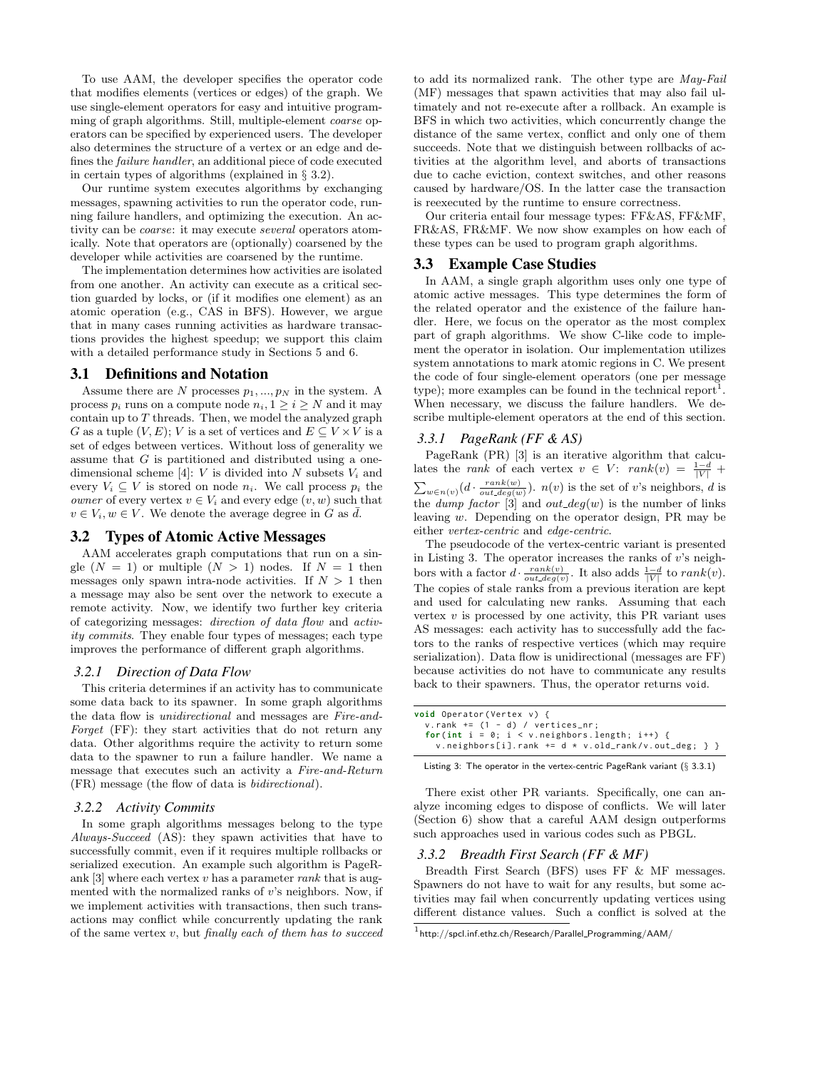To use AAM, the developer specifies the operator code that modifies elements (vertices or edges) of the graph. We use single-element operators for easy and intuitive programming of graph algorithms. Still, multiple-element coarse operators can be specified by experienced users. The developer also determines the structure of a vertex or an edge and defines the failure handler, an additional piece of code executed in certain types of algorithms (explained in § 3.2).

Our runtime system executes algorithms by exchanging messages, spawning activities to run the operator code, running failure handlers, and optimizing the execution. An activity can be coarse: it may execute several operators atomically. Note that operators are (optionally) coarsened by the developer while activities are coarsened by the runtime.

The implementation determines how activities are isolated from one another. An activity can execute as a critical section guarded by locks, or (if it modifies one element) as an atomic operation (e.g., CAS in BFS). However, we argue that in many cases running activities as hardware transactions provides the highest speedup; we support this claim with a detailed performance study in Sections 5 and 6.

## 3.1 Definitions and Notation

Assume there are N processes  $p_1, ..., p_N$  in the system. A process  $p_i$  runs on a compute node  $n_i, 1 \geq i \geq N$  and it may contain up to  $T$  threads. Then, we model the analyzed graph G as a tuple  $(V, E)$ ; V is a set of vertices and  $E \subseteq V \times V$  is a set of edges between vertices. Without loss of generality we assume that G is partitioned and distributed using a onedimensional scheme [4]: V is divided into N subsets  $V_i$  and every  $V_i \subseteq V$  is stored on node  $n_i$ . We call process  $p_i$  the *owner* of every vertex  $v \in V_i$  and every edge  $(v, w)$  such that  $v \in V_i, w \in V$ . We denote the average degree in G as  $\overline{d}$ .

# 3.2 Types of Atomic Active Messages

AAM accelerates graph computations that run on a single  $(N = 1)$  or multiple  $(N > 1)$  nodes. If  $N = 1$  then messages only spawn intra-node activities. If  $N > 1$  then a message may also be sent over the network to execute a remote activity. Now, we identify two further key criteria of categorizing messages: direction of data flow and activity commits. They enable four types of messages; each type improves the performance of different graph algorithms.

#### *3.2.1 Direction of Data Flow*

This criteria determines if an activity has to communicate some data back to its spawner. In some graph algorithms the data flow is unidirectional and messages are Fire-and-Forget (FF): they start activities that do not return any data. Other algorithms require the activity to return some data to the spawner to run a failure handler. We name a message that executes such an activity a Fire-and-Return (FR) message (the flow of data is bidirectional).

### *3.2.2 Activity Commits*

In some graph algorithms messages belong to the type Always-Succeed (AS): they spawn activities that have to successfully commit, even if it requires multiple rollbacks or serialized execution. An example such algorithm is PageRank [3] where each vertex v has a parameter rank that is augmented with the normalized ranks of  $v$ 's neighbors. Now, if we implement activities with transactions, then such transactions may conflict while concurrently updating the rank of the same vertex  $v$ , but finally each of them has to succeed to add its normalized rank. The other type are May-Fail (MF) messages that spawn activities that may also fail ultimately and not re-execute after a rollback. An example is BFS in which two activities, which concurrently change the distance of the same vertex, conflict and only one of them succeeds. Note that we distinguish between rollbacks of activities at the algorithm level, and aborts of transactions due to cache eviction, context switches, and other reasons caused by hardware/OS. In the latter case the transaction is reexecuted by the runtime to ensure correctness.

Our criteria entail four message types: FF&AS, FF&MF, FR&AS, FR&MF. We now show examples on how each of these types can be used to program graph algorithms.

#### 3.3 Example Case Studies

In AAM, a single graph algorithm uses only one type of atomic active messages. This type determines the form of the related operator and the existence of the failure handler. Here, we focus on the operator as the most complex part of graph algorithms. We show C-like code to implement the operator in isolation. Our implementation utilizes system annotations to mark atomic regions in C. We present the code of four single-element operators (one per message type); more examples can be found in the technical report<sup>1</sup> . When necessary, we discuss the failure handlers. We describe multiple-element operators at the end of this section.

#### *3.3.1 PageRank (FF & AS)*

PageRank (PR) [3] is an iterative algorithm that calculates the *rank* of each vertex  $v \in V$ :  $rank(v) = \frac{1-d}{|V|} +$  $\sum_{w \in n(v)} (d \cdot \frac{rank(w)}{out\_deg(w)})$ .  $n(v)$  is the set of v's neighbors, d is the *dump factor* [3] and *out\_deg(w)* is the number of links leaving w. Depending on the operator design, PR may be either vertex-centric and edge-centric.

The pseudocode of the vertex-centric variant is presented in Listing 3. The operator increases the ranks of  $v$ 's neighbors with a factor  $d \cdot \frac{rank(v)}{out\_deg(v)}$ . It also adds  $\frac{1-d}{|V|}$  to  $rank(v)$ . The copies of stale ranks from a previous iteration are kept and used for calculating new ranks. Assuming that each vertex  $v$  is processed by one activity, this PR variant uses AS messages: each activity has to successfully add the factors to the ranks of respective vertices (which may require serialization). Data flow is unidirectional (messages are FF) because activities do not have to communicate any results back to their spawners. Thus, the operator returns void.

| <b>void</b> Operator(Vertex v) {                            |  |
|-------------------------------------------------------------|--|
| $v.$ rank $+=$ (1 - d) / vertices nr:                       |  |
| for(int $i = 0$ ; $i \lt v$ neighbors length; $i^{++}$ ) {  |  |
| v.neighbors[i].rank $+=$ d $*$ v.old_rank/v.out_deg; $\}$ } |  |

Listing 3: The operator in the vertex-centric PageRank variant (§ 3.3.1)

There exist other PR variants. Specifically, one can analyze incoming edges to dispose of conflicts. We will later (Section 6) show that a careful AAM design outperforms such approaches used in various codes such as PBGL.

## *3.3.2 Breadth First Search (FF & MF)*

Breadth First Search (BFS) uses FF & MF messages. Spawners do not have to wait for any results, but some activities may fail when concurrently updating vertices using different distance values. Such a conflict is solved at the

 $^{\rm 1}$ http://spcl.inf.ethz.ch/Research/Parallel\_Programming/AAM/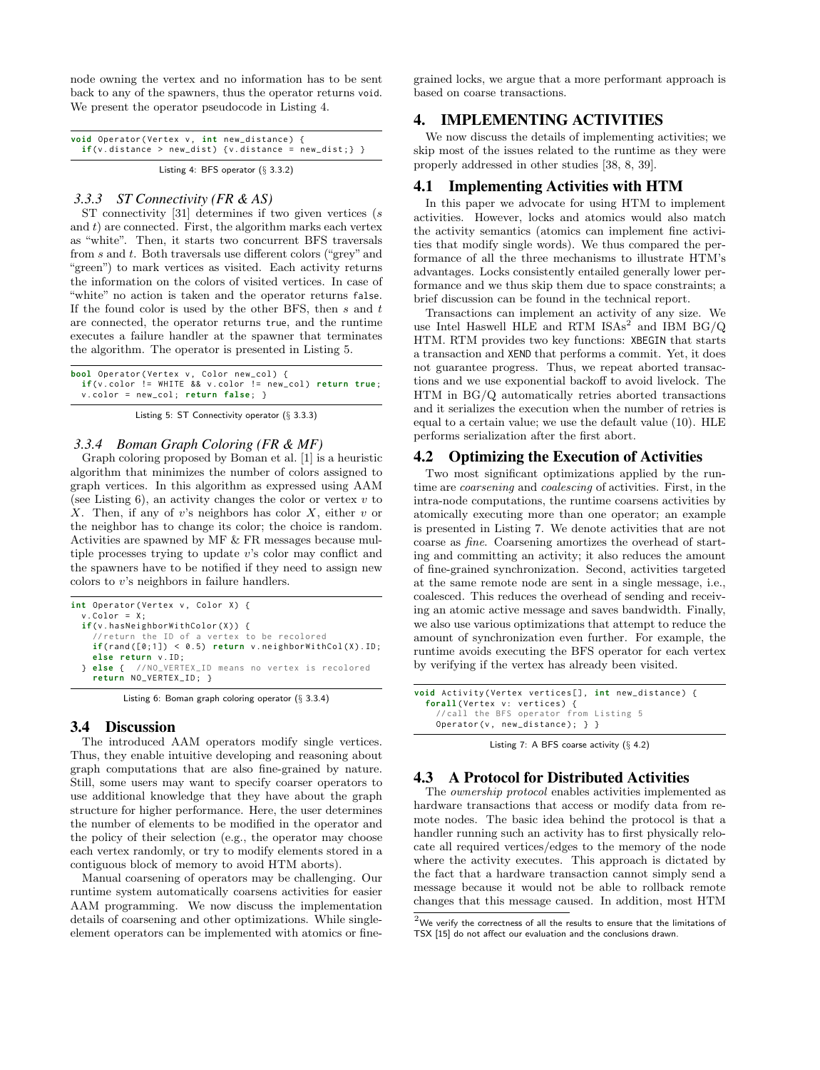node owning the vertex and no information has to be sent back to any of the spawners, thus the operator returns void. We present the operator pseudocode in Listing 4.

| void Operator (Vertex v, int new_distance) {<br>$if(v.distance > new_dist)$ {v.distance = new_dist;} } |  |  |  |  |  |  |  |  |
|--------------------------------------------------------------------------------------------------------|--|--|--|--|--|--|--|--|
| Listing 4: BFS operator $(\S 3.3.2)$                                                                   |  |  |  |  |  |  |  |  |

#### *3.3.3 ST Connectivity (FR & AS)*

ST connectivity [31] determines if two given vertices (s and  $t$ ) are connected. First, the algorithm marks each vertex as "white". Then, it starts two concurrent BFS traversals from s and t. Both traversals use different colors ("grey" and "green") to mark vertices as visited. Each activity returns the information on the colors of visited vertices. In case of "white" no action is taken and the operator returns false. If the found color is used by the other BFS, then  $s$  and  $t$ are connected, the operator returns true, and the runtime executes a failure handler at the spawner that terminates the algorithm. The operator is presented in Listing 5.

| <b>bool</b> Operator(Vertex v, Color new_col) {                                        |  |
|----------------------------------------------------------------------------------------|--|
| $if(v.\text{color} != \text{WHITE} 8& v.\text{color} != \text{new\_col})$ return true; |  |
| $v.\text{color} = new\_col; return false;$                                             |  |

Listing 5: ST Connectivity operator (§ 3.3.3)

## *3.3.4 Boman Graph Coloring (FR & MF)*

Graph coloring proposed by Boman et al. [1] is a heuristic algorithm that minimizes the number of colors assigned to graph vertices. In this algorithm as expressed using AAM (see Listing 6), an activity changes the color or vertex  $v$  to X. Then, if any of v's neighbors has color  $X$ , either v or the neighbor has to change its color; the choice is random. Activities are spawned by MF & FR messages because multiple processes trying to update v's color may conflict and the spawners have to be notified if they need to assign new colors to v's neighbors in failure handlers.

```
int Operator (Vertex v, Color X) {
  v. Color = X;
  if(v.hasNeighborWithColor(X)) {
     // return the ID of a vertex to be recolored
    if(rand([0;1]) < 0.5) return v. neighborWithCol(X).ID;
    else return v . ID :
  } else { // NO_VERTEX_ID means no vertex is recolored
    return NO_VERTEX_ID ; }
```
Listing 6: Boman graph coloring operator (§ 3.3.4)

# 3.4 Discussion

The introduced AAM operators modify single vertices. Thus, they enable intuitive developing and reasoning about graph computations that are also fine-grained by nature. Still, some users may want to specify coarser operators to use additional knowledge that they have about the graph structure for higher performance. Here, the user determines the number of elements to be modified in the operator and the policy of their selection (e.g., the operator may choose each vertex randomly, or try to modify elements stored in a contiguous block of memory to avoid HTM aborts).

Manual coarsening of operators may be challenging. Our runtime system automatically coarsens activities for easier AAM programming. We now discuss the implementation details of coarsening and other optimizations. While singleelement operators can be implemented with atomics or finegrained locks, we argue that a more performant approach is based on coarse transactions.

# 4. IMPLEMENTING ACTIVITIES

We now discuss the details of implementing activities; we skip most of the issues related to the runtime as they were properly addressed in other studies [38, 8, 39].

# 4.1 Implementing Activities with HTM

In this paper we advocate for using HTM to implement activities. However, locks and atomics would also match the activity semantics (atomics can implement fine activities that modify single words). We thus compared the performance of all the three mechanisms to illustrate HTM's advantages. Locks consistently entailed generally lower performance and we thus skip them due to space constraints; a brief discussion can be found in the technical report.

Transactions can implement an activity of any size. We use Intel Haswell HLE and RTM  $ISA<sup>2</sup>$  and IBM BG/Q HTM. RTM provides two key functions: XBEGIN that starts a transaction and XEND that performs a commit. Yet, it does not guarantee progress. Thus, we repeat aborted transactions and we use exponential backoff to avoid livelock. The HTM in BG/Q automatically retries aborted transactions and it serializes the execution when the number of retries is equal to a certain value; we use the default value (10). HLE performs serialization after the first abort.

# 4.2 Optimizing the Execution of Activities

Two most significant optimizations applied by the runtime are coarsening and coalescing of activities. First, in the intra-node computations, the runtime coarsens activities by atomically executing more than one operator; an example is presented in Listing 7. We denote activities that are not coarse as fine. Coarsening amortizes the overhead of starting and committing an activity; it also reduces the amount of fine-grained synchronization. Second, activities targeted at the same remote node are sent in a single message, i.e., coalesced. This reduces the overhead of sending and receiving an atomic active message and saves bandwidth. Finally, we also use various optimizations that attempt to reduce the amount of synchronization even further. For example, the runtime avoids executing the BFS operator for each vertex by verifying if the vertex has already been visited.

```
void Activity (Vertex vertices[], int new_distance) {
  forall (Vertex v: vertices) {
    // call the BFS operator from Listing 5
    Operator (v, new\_distance); } }
```
Listing 7: A BFS coarse activity  $(\S$  4.2)

# 4.3 A Protocol for Distributed Activities

The ownership protocol enables activities implemented as hardware transactions that access or modify data from remote nodes. The basic idea behind the protocol is that a handler running such an activity has to first physically relocate all required vertices/edges to the memory of the node where the activity executes. This approach is dictated by the fact that a hardware transaction cannot simply send a message because it would not be able to rollback remote changes that this message caused. In addition, most HTM

 $2$ We verify the correctness of all the results to ensure that the limitations of TSX [15] do not affect our evaluation and the conclusions drawn.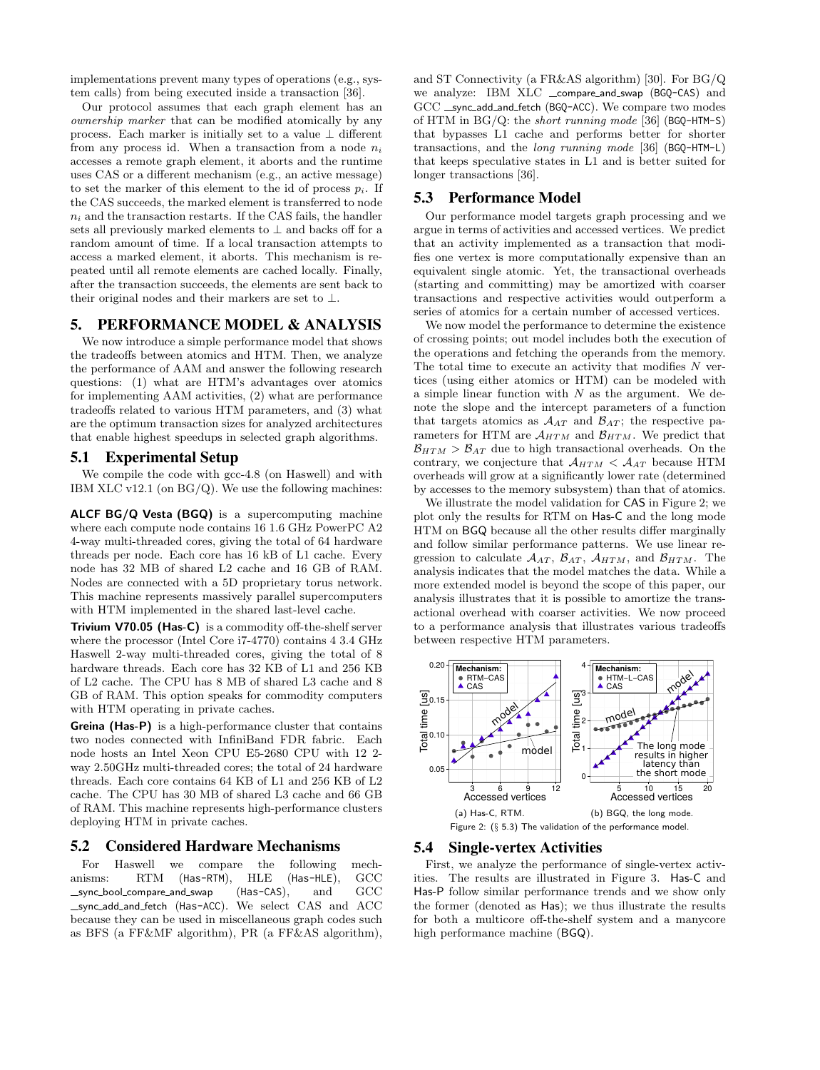implementations prevent many types of operations (e.g., system calls) from being executed inside a transaction [36].

Our protocol assumes that each graph element has an ownership marker that can be modified atomically by any process. Each marker is initially set to a value ⊥ different from any process id. When a transaction from a node  $n_i$ accesses a remote graph element, it aborts and the runtime uses CAS or a different mechanism (e.g., an active message) to set the marker of this element to the id of process  $p_i$ . If the CAS succeeds, the marked element is transferred to node  $n_i$  and the transaction restarts. If the CAS fails, the handler sets all previously marked elements to  $\perp$  and backs off for a random amount of time. If a local transaction attempts to access a marked element, it aborts. This mechanism is repeated until all remote elements are cached locally. Finally, after the transaction succeeds, the elements are sent back to their original nodes and their markers are set to  $\bot$ .

# 5. PERFORMANCE MODEL & ANALYSIS

We now introduce a simple performance model that shows the tradeoffs between atomics and HTM. Then, we analyze the performance of AAM and answer the following research questions: (1) what are HTM's advantages over atomics for implementing AAM activities, (2) what are performance tradeoffs related to various HTM parameters, and (3) what are the optimum transaction sizes for analyzed architectures that enable highest speedups in selected graph algorithms.

# 5.1 Experimental Setup

We compile the code with gcc-4.8 (on Haswell) and with IBM XLC v12.1 (on  $BG/Q$ ). We use the following machines:

ALCF BG/Q Vesta (BGQ) is a supercomputing machine where each compute node contains 16 1.6 GHz PowerPC A2 4-way multi-threaded cores, giving the total of 64 hardware threads per node. Each core has 16 kB of L1 cache. Every node has 32 MB of shared L2 cache and 16 GB of RAM. Nodes are connected with a 5D proprietary torus network. This machine represents massively parallel supercomputers with HTM implemented in the shared last-level cache.

Trivium V70.05 (Has-C) is a commodity off-the-shelf server where the processor (Intel Core i7-4770) contains 4 3.4 GHz Haswell 2-way multi-threaded cores, giving the total of 8 hardware threads. Each core has 32 KB of L1 and 256 KB of L2 cache. The CPU has 8 MB of shared L3 cache and 8 GB of RAM. This option speaks for commodity computers with HTM operating in private caches.

Greina (Has-P) is a high-performance cluster that contains two nodes connected with InfiniBand FDR fabric. Each node hosts an Intel Xeon CPU E5-2680 CPU with 12 2 way 2.50GHz multi-threaded cores; the total of 24 hardware threads. Each core contains 64 KB of L1 and 256 KB of L2 cache. The CPU has 30 MB of shared L3 cache and 66 GB of RAM. This machine represents high-performance clusters deploying HTM in private caches.

# 5.2 Considered Hardware Mechanisms

For Haswell we compare the following mech-<br>isms: RTM (Has-RTM), HLE (Has-HLE), GCC anisms: RTM (Has-RTM),  $\equiv$ sync $\equiv$ bool $\equiv$ compare $\equiv$ and $\equiv$ swap (Has-CAS), and  $\equiv$  GCC sync add and fetch (Has-ACC). We select CAS and ACC because they can be used in miscellaneous graph codes such as BFS (a FF&MF algorithm), PR (a FF&AS algorithm), and ST Connectivity (a FR&AS algorithm) [30]. For BG/Q we analyze: IBM XLC \_compare\_and\_swap (BGQ-CAS) and GCC \_sync\_add\_and\_fetch (BGQ-ACC). We compare two modes of HTM in  $BG/Q$ : the *short running mode* [36] (BGQ-HTM-S) that bypasses L1 cache and performs better for shorter transactions, and the long running mode [36] (BGQ-HTM-L) that keeps speculative states in L1 and is better suited for longer transactions [36].

# 5.3 Performance Model

Our performance model targets graph processing and we argue in terms of activities and accessed vertices. We predict that an activity implemented as a transaction that modifies one vertex is more computationally expensive than an equivalent single atomic. Yet, the transactional overheads (starting and committing) may be amortized with coarser transactions and respective activities would outperform a series of atomics for a certain number of accessed vertices.

We now model the performance to determine the existence of crossing points; out model includes both the execution of the operations and fetching the operands from the memory. The total time to execute an activity that modifies  $N$  vertices (using either atomics or HTM) can be modeled with a simple linear function with  $N$  as the argument. We denote the slope and the intercept parameters of a function that targets atomics as  $A_{AT}$  and  $B_{AT}$ ; the respective parameters for HTM are  $A_{HTM}$  and  $B_{HTM}$ . We predict that  $\mathcal{B}_{HTM} > \mathcal{B}_{AT}$  due to high transactional overheads. On the contrary, we conjecture that  $A_{HTM} < A_{AT}$  because HTM overheads will grow at a significantly lower rate (determined by accesses to the memory subsystem) than that of atomics.

We illustrate the model validation for CAS in Figure 2; we plot only the results for RTM on Has-C and the long mode HTM on BGQ because all the other results differ marginally and follow similar performance patterns. We use linear regression to calculate  $A_{AT}$ ,  $B_{AT}$ ,  $A_{HTM}$ , and  $B_{HTM}$ . The analysis indicates that the model matches the data. While a more extended model is beyond the scope of this paper, our analysis illustrates that it is possible to amortize the transactional overhead with coarser activities. We now proceed to a performance analysis that illustrates various tradeoffs between respective HTM parameters.



#### 5.4 Single-vertex Activities

First, we analyze the performance of single-vertex activities. The results are illustrated in Figure 3. Has-C and Has-P follow similar performance trends and we show only the former (denoted as Has); we thus illustrate the results for both a multicore off-the-shelf system and a manycore high performance machine (BGQ).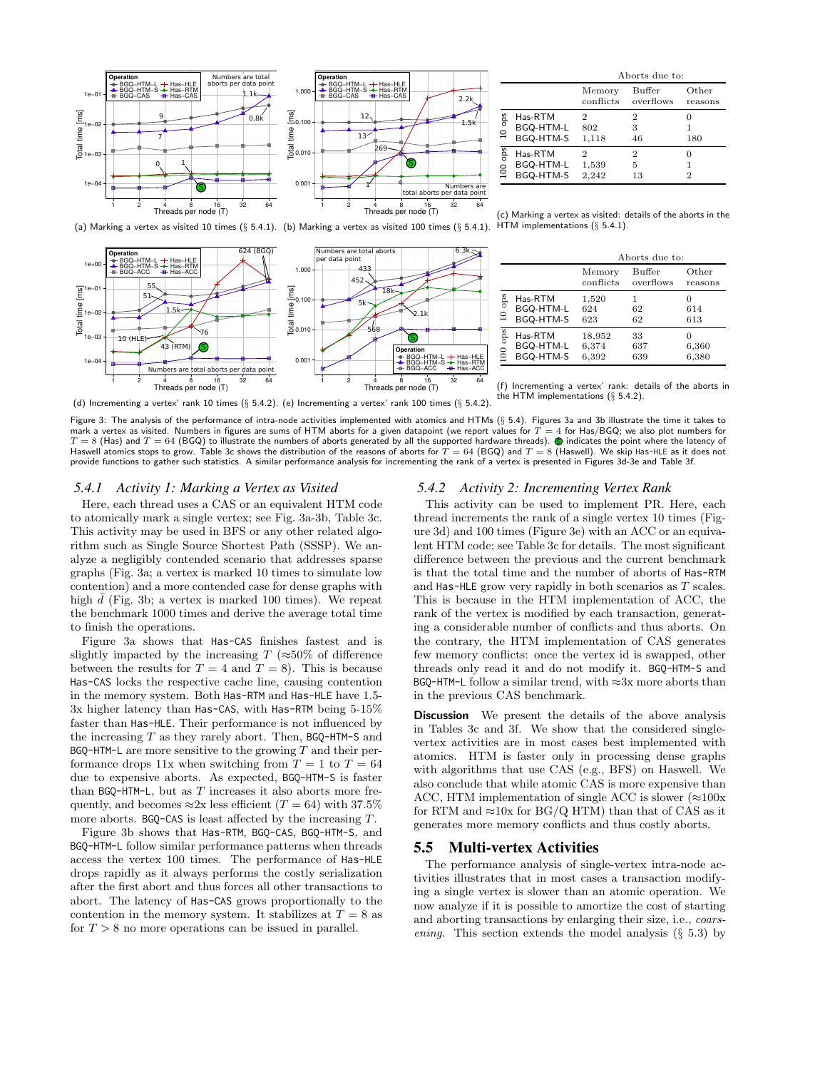

624 (BGQ)

|                        |                                   |                     | Aborts due to:      |                     |
|------------------------|-----------------------------------|---------------------|---------------------|---------------------|
|                        |                                   | Memory<br>conflicts | Buffer<br>overflows | Other<br>reasons    |
| $10$ ops               | Has-RTM<br>BGQ-HTM-L<br>BGQ-HTM-S | 2<br>802<br>1,118   | 2<br>3<br>46        | O<br>180            |
| ops<br>$\frac{0}{100}$ | Has-RTM<br>BGQ-HTM-L<br>BGQ-HTM-S | 2<br>1,539<br>2,242 | 2<br>5<br>13        | 0<br>$\overline{2}$ |

(c) Marking a vertex as visited: details of the aborts in the HTM implementations (§ 5.4.1).



(f) Incrementing a vertex' rank: details of the aborts in

1 2 4 8 16 32 64 Threads per node (T) (d) Incrementing a vertex' rank 10 times  $(\S~5.4.2)$ . (e) Incrementing a vertex' rank 100 times  $(\S~5.4.2)$ . 1 2 4 8 16 32 64 Threads per node (T) the HTM implementations (§ 5.4.2).

0.001

 $\frac{1}{6}0.010$ 

Total time [ms]

0.100

452

5k

568

 $-433$ Numbers are total aborts enne er en en e<br>an data moint

1.000

Figure 3: The analysis of the performance of intra-node activities implemented with atomics and HTMs (§ 5.4). Figures 3a and 3b illustrate the time it takes to mark a vertex as visited. Numbers in figures are sums of HTM aborts for a given datapoint (we report values for  $T = 4$  for Has/BGQ; we also plot numbers for  $T=8$  (Has) and  $T=64$  (BGQ) to illustrate the numbers of aborts generated by all the supported hardware threads).  $\bigcirc$  indicates the point where the latency of Haswell atomics stops to grow. Table 3c shows the distribution of the reasons of aborts for  $T = 64$  (BGQ) and  $T = 8$  (Haswell). We skip Has-HLE as it does not provide functions to gather such statistics. A similar performance analysis for incrementing the rank of a vertex is presented in Figures 3d-3e and Table 3f.

Operation BGQ−HTM−L -BGQ−HTM−S − BGQ−ACC

 $18k$ 

s,

2.1k

6.3k $\approx$ 

#### *5.4.1 Activity 1: Marking a Vertex as Visited*

Has−HLE Has−RTM Has−ACC

43 (RTM)  $\bigcirc$ 

1.5k

76

total aborts per data poi

1e−04 1e−03 1e−02 1e−01

 $1e+0$ 

Operation BGQ−HTM−L −<br>BGQ−HTM−S − BGQ−ACC

10 (HLE)

55

51

Total time [ms]

Here, each thread uses a CAS or an equivalent HTM code to atomically mark a single vertex; see Fig. 3a-3b, Table 3c. This activity may be used in BFS or any other related algorithm such as Single Source Shortest Path (SSSP). We analyze a negligibly contended scenario that addresses sparse graphs (Fig. 3a; a vertex is marked 10 times to simulate low contention) and a more contended case for dense graphs with high  $\bar{d}$  (Fig. 3b; a vertex is marked 100 times). We repeat the benchmark 1000 times and derive the average total time to finish the operations.

Figure 3a shows that Has-CAS finishes fastest and is slightly impacted by the increasing  $T (\approx 50\% \text{ of difference})$ between the results for  $T = 4$  and  $T = 8$ ). This is because Has-CAS locks the respective cache line, causing contention in the memory system. Both Has-RTM and Has-HLE have 1.5- 3x higher latency than Has-CAS, with Has-RTM being 5-15% faster than Has-HLE. Their performance is not influenced by the increasing  $T$  as they rarely abort. Then, BGQ-HTM-S and  $BGQ$ -HTM-L are more sensitive to the growing  $T$  and their performance drops 11x when switching from  $T = 1$  to  $T = 64$ due to expensive aborts. As expected, BGQ-HTM-S is faster than  $BGQ$ -HTM-L, but as  $T$  increases it also aborts more frequently, and becomes  $\approx 2x$  less efficient (T = 64) with 37.5% more aborts. BGQ-CAS is least affected by the increasing T.

Figure 3b shows that Has-RTM, BGQ-CAS, BGQ-HTM-S, and BGQ-HTM-L follow similar performance patterns when threads access the vertex 100 times. The performance of Has-HLE drops rapidly as it always performs the costly serialization after the first abort and thus forces all other transactions to abort. The latency of Has-CAS grows proportionally to the contention in the memory system. It stabilizes at  $T = 8$  as for  $T > 8$  no more operations can be issued in parallel.

# *5.4.2 Activity 2: Incrementing Vertex Rank*

This activity can be used to implement PR. Here, each thread increments the rank of a single vertex 10 times (Figure 3d) and 100 times (Figure 3e) with an ACC or an equivalent HTM code; see Table 3c for details. The most significant difference between the previous and the current benchmark is that the total time and the number of aborts of Has-RTM and Has-HLE grow very rapidly in both scenarios as T scales. This is because in the HTM implementation of ACC, the rank of the vertex is modified by each transaction, generating a considerable number of conflicts and thus aborts. On the contrary, the HTM implementation of CAS generates few memory conflicts: once the vertex id is swapped, other threads only read it and do not modify it. BGQ-HTM-S and BGQ-HTM-L follow a similar trend, with  $\approx 3x$  more aborts than in the previous CAS benchmark.

**Discussion** We present the details of the above analysis in Tables 3c and 3f. We show that the considered singlevertex activities are in most cases best implemented with atomics. HTM is faster only in processing dense graphs with algorithms that use CAS (e.g., BFS) on Haswell. We also conclude that while atomic CAS is more expensive than ACC, HTM implementation of single ACC is slower ( $\approx$ 100x for RTM and  $\approx$ 10x for BG/Q HTM) than that of CAS as it generates more memory conflicts and thus costly aborts.

## 5.5 Multi-vertex Activities

The performance analysis of single-vertex intra-node activities illustrates that in most cases a transaction modifying a single vertex is slower than an atomic operation. We now analyze if it is possible to amortize the cost of starting and aborting transactions by enlarging their size, i.e., coarsening. This section extends the model analysis  $(\S$  5.3) by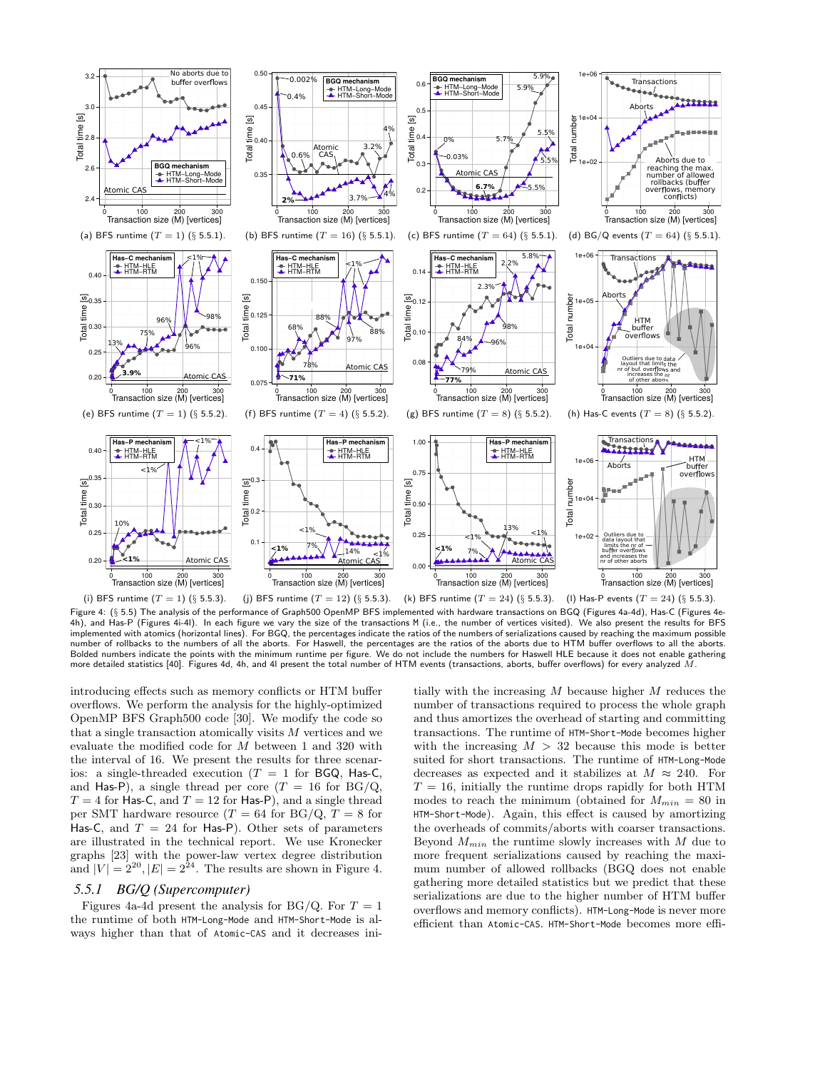

Figure 4: (§ 5.5) The analysis of the performance of Graph500 OpenMP BFS implemented with hardware transactions on BGQ (Figures 4a-4d), Has-C (Figures 4e-4h), and Has-P (Figures 4i-4l). In each figure we vary the size of the transactions M (i.e., the number of vertices visited). We also present the results for BFS implemented with atomics (horizontal lines). For BGQ, the percentages indicate the ratios of the numbers of serializations caused by reaching the maximum possible number of rollbacks to the numbers of all the aborts. For Haswell, the percentages are the ratios of the aborts due to HTM buffer overflows to all the aborts. Bolded numbers indicate the points with the minimum runtime per figure. We do not include the numbers for Haswell HLE because it does not enable gathering more detailed statistics [40]. Figures 4d, 4h, and 4l present the total number of HTM events (transactions, aborts, buffer overflows) for every analyzed  $\dot{M}$ .

introducing effects such as memory conflicts or HTM buffer overflows. We perform the analysis for the highly-optimized OpenMP BFS Graph500 code [30]. We modify the code so that a single transaction atomically visits  $M$  vertices and we evaluate the modified code for M between 1 and 320 with the interval of 16. We present the results for three scenarios: a single-threaded execution ( $T = 1$  for BGQ, Has-C, and Has-P), a single thread per core  $(T = 16$  for BG/Q,  $T = 4$  for Has-C, and  $T = 12$  for Has-P), and a single thread per SMT hardware resource  $(T = 64$  for BG/Q,  $T = 8$  for Has-C, and  $T = 24$  for Has-P). Other sets of parameters are illustrated in the technical report. We use Kronecker graphs [23] with the power-law vertex degree distribution and  $|V| = 2^{20}, |E| = 2^{24}$ . The results are shown in Figure 4.

# *5.5.1 BG/Q (Supercomputer)*

Figures 4a-4d present the analysis for BG/Q. For  $T = 1$ the runtime of both HTM-Long-Mode and HTM-Short-Mode is always higher than that of Atomic-CAS and it decreases initially with the increasing  $M$  because higher  $M$  reduces the number of transactions required to process the whole graph and thus amortizes the overhead of starting and committing transactions. The runtime of HTM-Short-Mode becomes higher with the increasing  $M > 32$  because this mode is better suited for short transactions. The runtime of HTM-Long-Mode decreases as expected and it stabilizes at  $M \approx 240$ . For  $T = 16$ , initially the runtime drops rapidly for both HTM modes to reach the minimum (obtained for  $M_{min} = 80$  in HTM-Short-Mode). Again, this effect is caused by amortizing the overheads of commits/aborts with coarser transactions. Beyond  $M_{min}$  the runtime slowly increases with  $M$  due to more frequent serializations caused by reaching the maximum number of allowed rollbacks (BGQ does not enable gathering more detailed statistics but we predict that these serializations are due to the higher number of HTM buffer overflows and memory conflicts). HTM-Long-Mode is never more efficient than Atomic-CAS. HTM-Short-Mode becomes more effi-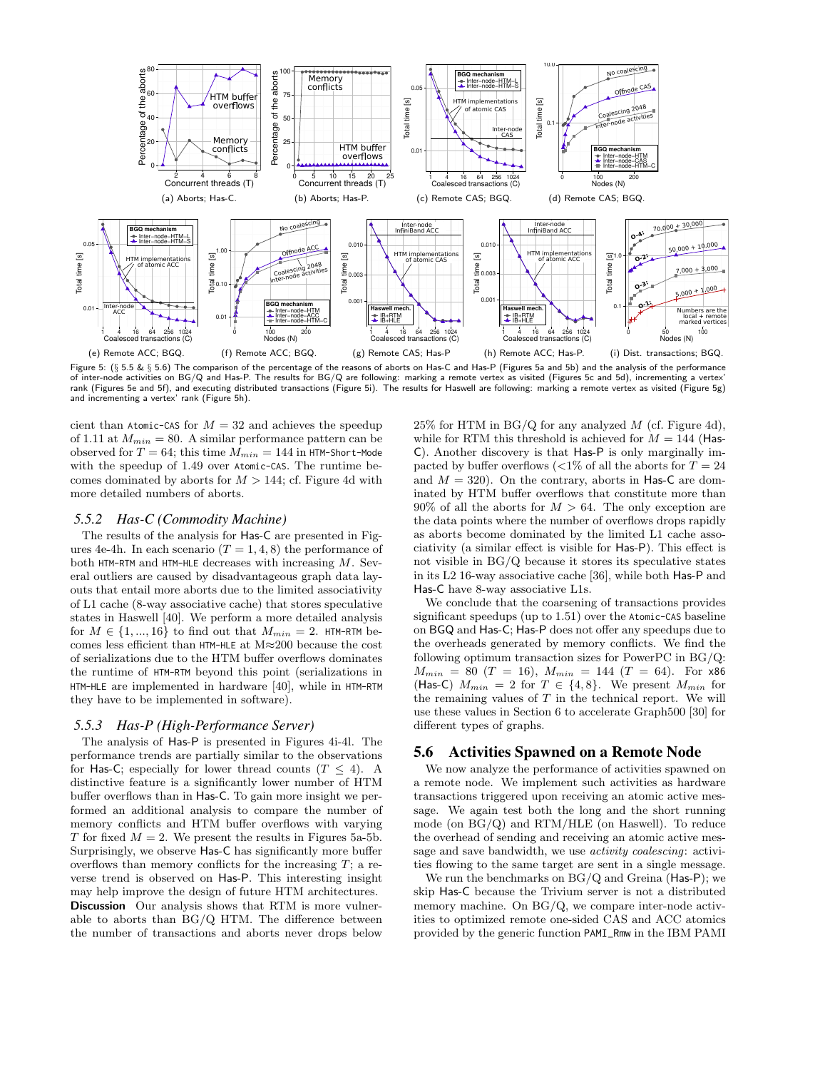

Figure 5: (§ 5.5 & § 5.6) The comparison of the percentage of the reasons of aborts on Has-C and Has-P (Figures 5a and 5b) and the analysis of the performance of inter-node activities on BG/Q and Has-P. The results for BG/Q are following: marking a remote vertex as visited (Figures 5c and 5d), incrementing a vertex' rank (Figures 5e and 5f), and executing distributed transactions (Figure 5i). The results for Haswell are following: marking a remote vertex as visited (Figure 5g) and incrementing a vertex' rank (Figure 5h).

cient than Atomic-CAS for  $M = 32$  and achieves the speedup of 1.11 at  $M_{min} = 80$ . A similar performance pattern can be observed for  $T = 64$ ; this time  $M_{min} = 144$  in HTM-Short-Mode with the speedup of 1.49 over Atomic-CAS. The runtime becomes dominated by aborts for  $M > 144$ ; cf. Figure 4d with more detailed numbers of aborts.

# *5.5.2 Has-C (Commodity Machine)*

The results of the analysis for Has-C are presented in Figures 4e-4h. In each scenario  $(T = 1, 4, 8)$  the performance of both HTM-RTM and HTM-HLE decreases with increasing  $M$ . Several outliers are caused by disadvantageous graph data layouts that entail more aborts due to the limited associativity of L1 cache (8-way associative cache) that stores speculative states in Haswell [40]. We perform a more detailed analysis for  $M \in \{1, ..., 16\}$  to find out that  $M_{min} = 2$ . HTM-RTM becomes less efficient than HTM-HLE at M≈200 because the cost of serializations due to the HTM buffer overflows dominates the runtime of HTM-RTM beyond this point (serializations in HTM-HLE are implemented in hardware [40], while in HTM-RTM they have to be implemented in software).

## *5.5.3 Has-P (High-Performance Server)*

The analysis of Has-P is presented in Figures 4i-4l. The performance trends are partially similar to the observations for Has-C; especially for lower thread counts  $(T \leq 4)$ . A distinctive feature is a significantly lower number of HTM buffer overflows than in Has-C. To gain more insight we performed an additional analysis to compare the number of memory conflicts and HTM buffer overflows with varying T for fixed  $M = 2$ . We present the results in Figures 5a-5b. Surprisingly, we observe Has-C has significantly more buffer overflows than memory conflicts for the increasing  $T$ ; a reverse trend is observed on Has-P. This interesting insight may help improve the design of future HTM architectures. Discussion Our analysis shows that RTM is more vulnerable to aborts than BG/Q HTM. The difference between the number of transactions and aborts never drops below  $25\%$  for HTM in BG/Q for any analyzed M (cf. Figure 4d), while for RTM this threshold is achieved for  $M = 144$  (Has-C). Another discovery is that Has-P is only marginally impacted by buffer overflows  $\langle 1\% \rangle$  of all the aborts for  $T = 24$ and  $M = 320$ ). On the contrary, aborts in Has-C are dominated by HTM buffer overflows that constitute more than  $90\%$  of all the aborts for  $M > 64$ . The only exception are the data points where the number of overflows drops rapidly as aborts become dominated by the limited L1 cache associativity (a similar effect is visible for Has-P). This effect is not visible in BG/Q because it stores its speculative states in its L2 16-way associative cache [36], while both Has-P and Has-C have 8-way associative L1s.

We conclude that the coarsening of transactions provides significant speedups (up to 1.51) over the Atomic-CAS baseline on BGQ and Has-C; Has-P does not offer any speedups due to the overheads generated by memory conflicts. We find the following optimum transaction sizes for PowerPC in BG/Q:  $M_{min} = 80$  (T = 16),  $M_{min} = 144$  (T = 64). For x86 (Has-C)  $M_{min} = 2$  for  $T \in \{4, 8\}$ . We present  $M_{min}$  for the remaining values of  $T$  in the technical report. We will use these values in Section 6 to accelerate Graph500 [30] for different types of graphs.

# 5.6 Activities Spawned on a Remote Node

We now analyze the performance of activities spawned on a remote node. We implement such activities as hardware transactions triggered upon receiving an atomic active message. We again test both the long and the short running mode (on BG/Q) and RTM/HLE (on Haswell). To reduce the overhead of sending and receiving an atomic active message and save bandwidth, we use *activity coalescing*: activities flowing to the same target are sent in a single message.

We run the benchmarks on  $BG/Q$  and Greina (Has-P); we skip Has-C because the Trivium server is not a distributed memory machine. On BG/Q, we compare inter-node activities to optimized remote one-sided CAS and ACC atomics provided by the generic function PAMI\_Rmw in the IBM PAMI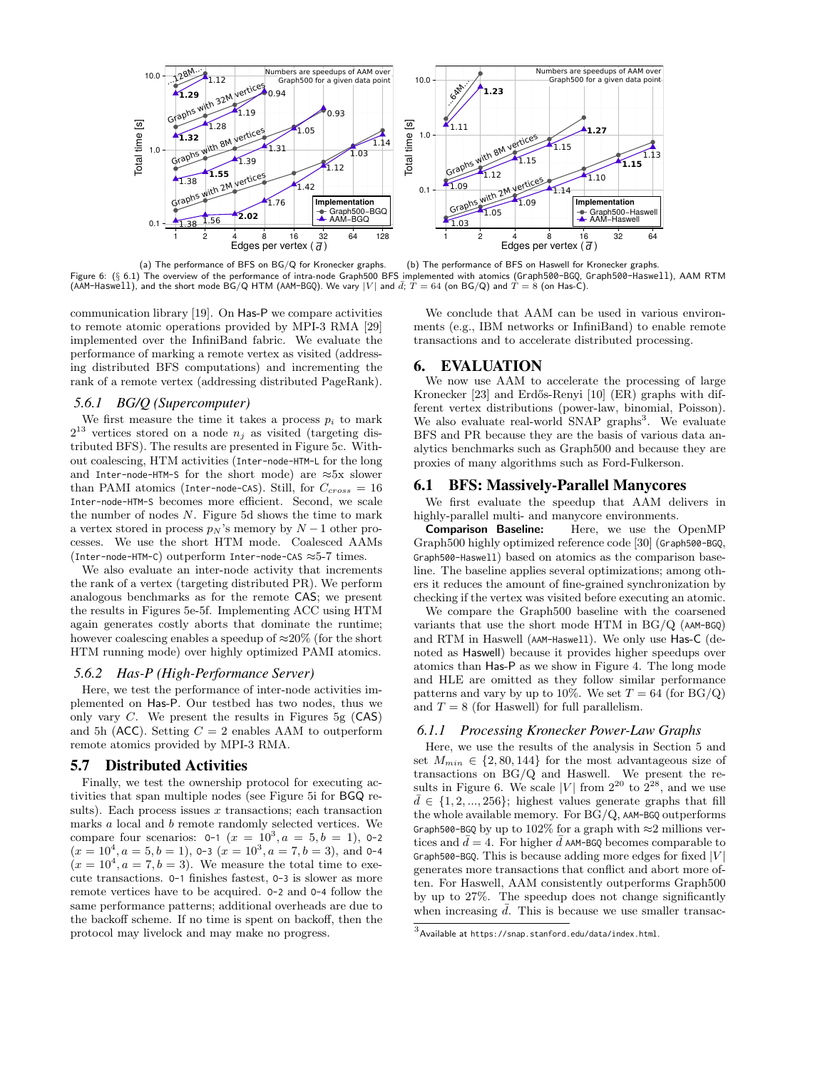

(a) The performance of BFS on BG/Q for Kronecker graphs. (b) The performance of BFS on Haswell for Kronecker graphs. Figure 6: (§ 6.1) The overview of the performance of intra-node Graph500 BFS implemented with atomics (Graph500-BGQ, Graph500-Haswell), AAM RTM (AAM-Haswell), and the short mode BG/Q HTM (AAM-BGQ). We vary  $|V|$  and  $\bar{d}$ ;  $T = 64$  (on BG/Q) and  $\hat{T} = 8$  (on Has-C).

communication library [19]. On Has-P we compare activities to remote atomic operations provided by MPI-3 RMA [29] implemented over the InfiniBand fabric. We evaluate the performance of marking a remote vertex as visited (addressing distributed BFS computations) and incrementing the rank of a remote vertex (addressing distributed PageRank).

# *5.6.1 BG/Q (Supercomputer)*

We first measure the time it takes a process  $p_i$  to mark  $2^{13}$  vertices stored on a node  $n_j$  as visited (targeting distributed BFS). The results are presented in Figure 5c. Without coalescing, HTM activities (Inter-node-HTM-L for the long and Inter-node-HTM-S for the short mode) are  $\approx$ 5x slower than PAMI atomics (Inter-node-CAS). Still, for  $C_{cross} = 16$ Inter-node-HTM-S becomes more efficient. Second, we scale the number of nodes N. Figure 5d shows the time to mark a vertex stored in process  $p_N$ 's memory by  $N-1$  other processes. We use the short HTM mode. Coalesced AAMs (Inter-node-HTM-C) outperform Inter-node-CAS ≈5-7 times.

We also evaluate an inter-node activity that increments the rank of a vertex (targeting distributed PR). We perform analogous benchmarks as for the remote CAS; we present the results in Figures 5e-5f. Implementing ACC using HTM again generates costly aborts that dominate the runtime; however coalescing enables a speedup of  $\approx 20\%$  (for the short HTM running mode) over highly optimized PAMI atomics.

#### *5.6.2 Has-P (High-Performance Server)*

Here, we test the performance of inter-node activities implemented on Has-P. Our testbed has two nodes, thus we only vary  $C$ . We present the results in Figures 5g  $(CAS)$ and 5h (ACC). Setting  $C = 2$  enables AAM to outperform remote atomics provided by MPI-3 RMA.

# 5.7 Distributed Activities

Finally, we test the ownership protocol for executing activities that span multiple nodes (see Figure 5i for BGQ results). Each process issues  $x$  transactions; each transaction marks a local and b remote randomly selected vertices. We compare four scenarios:  $0-1$   $(x = 10^3, a = 5, b = 1)$ ,  $0-2$  $(x = 10^4, a = 5, b = 1)$ , 0-3  $(x = 10^3, a = 7, b = 3)$ , and 0-4  $(x = 10<sup>4</sup>, a = 7, b = 3)$ . We measure the total time to execute transactions. O-1 finishes fastest, O-3 is slower as more remote vertices have to be acquired. O-2 and O-4 follow the same performance patterns; additional overheads are due to the backoff scheme. If no time is spent on backoff, then the protocol may livelock and may make no progress.

We conclude that AAM can be used in various environments (e.g., IBM networks or InfiniBand) to enable remote transactions and to accelerate distributed processing.

# 6. EVALUATION

We now use AAM to accelerate the processing of large Kronecker [23] and Erdős-Renyi [10] (ER) graphs with different vertex distributions (power-law, binomial, Poisson). We also evaluate real-world SNAP graphs<sup>3</sup>. We evaluate BFS and PR because they are the basis of various data analytics benchmarks such as Graph500 and because they are proxies of many algorithms such as Ford-Fulkerson.

# 6.1 BFS: Massively-Parallel Manycores

We first evaluate the speedup that AAM delivers in highly-parallel multi- and manycore environments.

Comparison Baseline: Here, we use the OpenMP Graph500 highly optimized reference code [30] (Graph500-BGQ, Graph500-Haswell) based on atomics as the comparison baseline. The baseline applies several optimizations; among others it reduces the amount of fine-grained synchronization by checking if the vertex was visited before executing an atomic.

We compare the Graph500 baseline with the coarsened variants that use the short mode HTM in BG/Q (AAM-BGQ) and RTM in Haswell (AAM-Haswell). We only use Has-C (denoted as Haswell) because it provides higher speedups over atomics than Has-P as we show in Figure 4. The long mode and HLE are omitted as they follow similar performance patterns and vary by up to 10%. We set  $T = 64$  (for BG/Q) and  $T = 8$  (for Haswell) for full parallelism.

## *6.1.1 Processing Kronecker Power-Law Graphs*

Here, we use the results of the analysis in Section 5 and set  $M_{min} \in \{2, 80, 144\}$  for the most advantageous size of transactions on BG/Q and Haswell. We present the results in Figure 6. We scale |V| from  $2^{20}$  to  $2^{28}$ , and we use  $d \in \{1, 2, ..., 256\}$ ; highest values generate graphs that fill the whole available memory. For BG/Q, AAM-BGQ outperforms Graph500-BGQ by up to 102% for a graph with  $\approx$ 2 millions vertices and  $\bar{d}=4$ . For higher  $\bar{d}$  AAM-BGQ becomes comparable to Graph500-BGQ. This is because adding more edges for fixed  $|V|$ generates more transactions that conflict and abort more often. For Haswell, AAM consistently outperforms Graph500 by up to 27%. The speedup does not change significantly when increasing  $\overline{d}$ . This is because we use smaller transac-

 $^3$ Available at <code>https://s</code>nap.stanford.edu/data/index.html.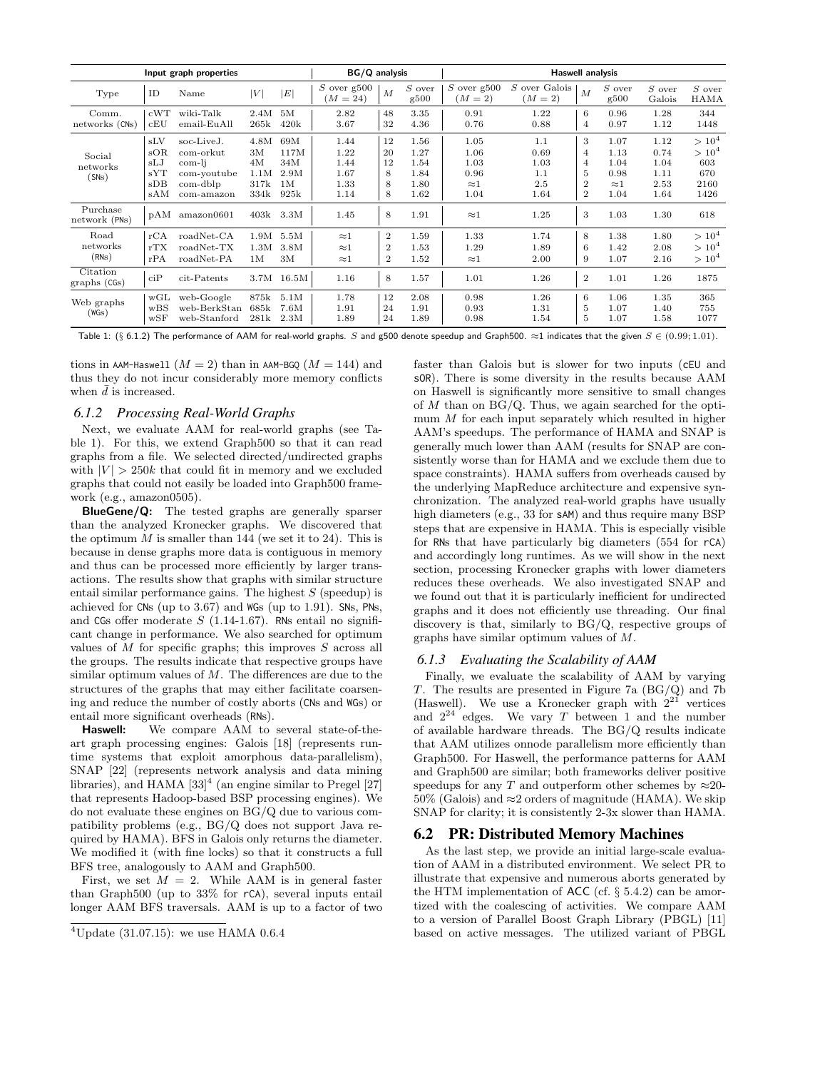| Input graph properties      |                                        |                                                                            |                                          | BG/Q analysis                            |                                              |                                                        |                                              | <b>Haswell analysis</b>                             |                                           |                                                                   |                                                     |                                              |                                                    |
|-----------------------------|----------------------------------------|----------------------------------------------------------------------------|------------------------------------------|------------------------------------------|----------------------------------------------|--------------------------------------------------------|----------------------------------------------|-----------------------------------------------------|-------------------------------------------|-------------------------------------------------------------------|-----------------------------------------------------|----------------------------------------------|----------------------------------------------------|
| Type                        | ID                                     | Name                                                                       | V                                        | E                                        | $S$ over $g500$<br>$M = 24$                  | $\overline{M}$                                         | $S$ over<br>g500                             | $S$ over $g500$<br>$(M = 2)$                        | S over Galois<br>$(M = 2)$                | $\overline{M}$                                                    | $S$ over<br>g500                                    | $S$ over<br>Galois                           | $\cal S$ over<br><b>HAMA</b>                       |
| Comm.<br>networks (CNs)     | cWT<br>cEU                             | wiki-Talk<br>email-EuAll                                                   | 2.4M<br>265k                             | 5M<br>420k                               | 2.82<br>3.67                                 | 48<br>32                                               | 3.35<br>4.36                                 | 0.91<br>0.76                                        | 1.22<br>0.88                              | 6<br>$\overline{4}$                                               | 0.96<br>0.97                                        | 1.28<br>1.12                                 | 344<br>1448                                        |
| Social<br>networks<br>(SNs) | sLV<br>sOR<br>sLJ<br>sYT<br>sDB<br>sAM | soc-LiveJ.<br>com-orkut<br>com-li<br>com-youtube<br>com-dblp<br>com-amazon | 4.8M<br>3M<br>4M<br>1.1M<br>317k<br>334k | 69M<br>117M<br>34M<br>2.9M<br>1M<br>925k | 1.44<br>1.22<br>1.44<br>1.67<br>1.33<br>1.14 | 12<br>20<br>12<br>8<br>8<br>8                          | 1.56<br>1.27<br>1.54<br>1.84<br>1.80<br>1.62 | 1.05<br>1.06<br>1.03<br>0.96<br>$\approx$ 1<br>1.04 | 1.1<br>0.69<br>1.03<br>1.1<br>2.5<br>1.64 | 3<br>4<br>$\overline{4}$<br>5<br>$\overline{2}$<br>$\overline{2}$ | 1.07<br>1.13<br>1.04<br>0.98<br>$\approx$ 1<br>1.04 | 1.12<br>0.74<br>1.04<br>1.11<br>2.53<br>1.64 | $> 10^4$<br>$> 10^4$<br>603<br>670<br>2160<br>1426 |
| Purchase<br>network (PNs)   | pAM                                    | amazon0601                                                                 |                                          | 403k 3.3M                                | 1.45                                         | 8                                                      | 1.91                                         | $\approx$ 1                                         | 1.25                                      | 3                                                                 | 1.03                                                | 1.30                                         | 618                                                |
| Road<br>networks<br>(RNs)   | rCA<br>rTX<br>rPA                      | roadNet-CA<br>$roadNet-TX$<br>roadNet-PA                                   | 1.9M<br>1.3M<br>1 <sub>M</sub>           | 5.5M<br>3.8M<br>3M                       | $\approx$ 1<br>$\approx$ 1<br>$\approx$ 1    | $\boldsymbol{2}$<br>$\boldsymbol{2}$<br>$\overline{2}$ | 1.59<br>1.53<br>1.52                         | 1.33<br>1.29<br>$\approx$ 1                         | 1.74<br>1.89<br>2.00                      | 8<br>6<br>9                                                       | 1.38<br>1.42<br>1.07                                | 1.80<br>2.08<br>2.16                         | $> 10^4$<br>$> 10^4$<br>$> 10^4$                   |
| Citation<br>graphs (CGs)    | ciP                                    | cit-Patents                                                                |                                          | 3.7M 16.5M                               | 1.16                                         | 8                                                      | 1.57                                         | 1.01                                                | 1.26                                      | $\boldsymbol{2}$                                                  | 1.01                                                | 1.26                                         | 1875                                               |
| Web graphs<br>(WGs)         | WGL<br>WBS<br>WSF                      | web-Google<br>web-BerkStan<br>web-Stanford                                 | 875k<br>685k<br>281k                     | 5.1M<br>7.6M<br>2.3M                     | 1.78<br>1.91<br>1.89                         | 12<br>24<br>24                                         | 2.08<br>1.91<br>1.89                         | 0.98<br>0.93<br>0.98                                | 1.26<br>1.31<br>1.54                      | 6<br>5<br>5                                                       | 1.06<br>1.07<br>1.07                                | 1.35<br>1.40<br>1.58                         | 365<br>755<br>1077                                 |

Table 1: (§ 6.1.2) The performance of AAM for real-world graphs. S and g500 denote speedup and Graph500.  $\approx$ 1 indicates that the given  $S \in (0.99; 1.01)$ .

tions in AAM-Haswell  $(M = 2)$  than in AAM-BGQ  $(M = 144)$  and thus they do not incur considerably more memory conflicts when  $\bar{d}$  is increased.

# *6.1.2 Processing Real-World Graphs*

Next, we evaluate AAM for real-world graphs (see Table 1). For this, we extend Graph500 so that it can read graphs from a file. We selected directed/undirected graphs with  $|V| > 250k$  that could fit in memory and we excluded graphs that could not easily be loaded into Graph500 framework (e.g., amazon0505).

BlueGene/Q: The tested graphs are generally sparser than the analyzed Kronecker graphs. We discovered that the optimum  $M$  is smaller than 144 (we set it to 24). This is because in dense graphs more data is contiguous in memory and thus can be processed more efficiently by larger transactions. The results show that graphs with similar structure entail similar performance gains. The highest  $S$  (speedup) is achieved for CNs (up to 3.67) and WGs (up to 1.91). SNs, PNs, and CGs offer moderate  $S$  (1.14-1.67). RNs entail no significant change in performance. We also searched for optimum values of  $M$  for specific graphs; this improves  $S$  across all the groups. The results indicate that respective groups have similar optimum values of  $M$ . The differences are due to the structures of the graphs that may either facilitate coarsening and reduce the number of costly aborts (CNs and WGs) or entail more significant overheads (RNs).

Haswell: We compare AAM to several state-of-theart graph processing engines: Galois [18] (represents runtime systems that exploit amorphous data-parallelism), SNAP [22] (represents network analysis and data mining libraries), and HAMA  $[33]^4$  (an engine similar to Pregel  $[27]$ that represents Hadoop-based BSP processing engines). We do not evaluate these engines on BG/Q due to various compatibility problems (e.g., BG/Q does not support Java required by HAMA). BFS in Galois only returns the diameter. We modified it (with fine locks) so that it constructs a full BFS tree, analogously to AAM and Graph500.

First, we set  $M = 2$ . While AAM is in general faster than Graph500 (up to 33% for rCA), several inputs entail longer AAM BFS traversals. AAM is up to a factor of two faster than Galois but is slower for two inputs (cEU and sOR). There is some diversity in the results because AAM on Haswell is significantly more sensitive to small changes of  $M$  than on  $BG/Q$ . Thus, we again searched for the optimum  $M$  for each input separately which resulted in higher AAM's speedups. The performance of HAMA and SNAP is generally much lower than AAM (results for SNAP are consistently worse than for HAMA and we exclude them due to space constraints). HAMA suffers from overheads caused by the underlying MapReduce architecture and expensive synchronization. The analyzed real-world graphs have usually high diameters (e.g., 33 for sAM) and thus require many BSP steps that are expensive in HAMA. This is especially visible for RNs that have particularly big diameters (554 for rCA) and accordingly long runtimes. As we will show in the next section, processing Kronecker graphs with lower diameters reduces these overheads. We also investigated SNAP and we found out that it is particularly inefficient for undirected graphs and it does not efficiently use threading. Our final discovery is that, similarly to BG/Q, respective groups of graphs have similar optimum values of M.

#### *6.1.3 Evaluating the Scalability of AAM*

Finally, we evaluate the scalability of AAM by varying T. The results are presented in Figure 7a (BG/Q) and 7b (Haswell). We use a Kronecker graph with  $2^{21}$  vertices and  $2^{24}$  edges. We vary T between 1 and the number of available hardware threads. The BG/Q results indicate that AAM utilizes onnode parallelism more efficiently than Graph500. For Haswell, the performance patterns for AAM and Graph500 are similar; both frameworks deliver positive speedups for any T and outperform other schemes by  $\approx 20$ - $50\%$  (Galois) and  $\approx$ 2 orders of magnitude (HAMA). We skip SNAP for clarity; it is consistently 2-3x slower than HAMA.

# 6.2 PR: Distributed Memory Machines

As the last step, we provide an initial large-scale evaluation of AAM in a distributed environment. We select PR to illustrate that expensive and numerous aborts generated by the HTM implementation of ACC (cf.  $\S$  5.4.2) can be amortized with the coalescing of activities. We compare AAM to a version of Parallel Boost Graph Library (PBGL) [11] based on active messages. The utilized variant of PBGL

 $4$ Update (31.07.15): we use HAMA 0.6.4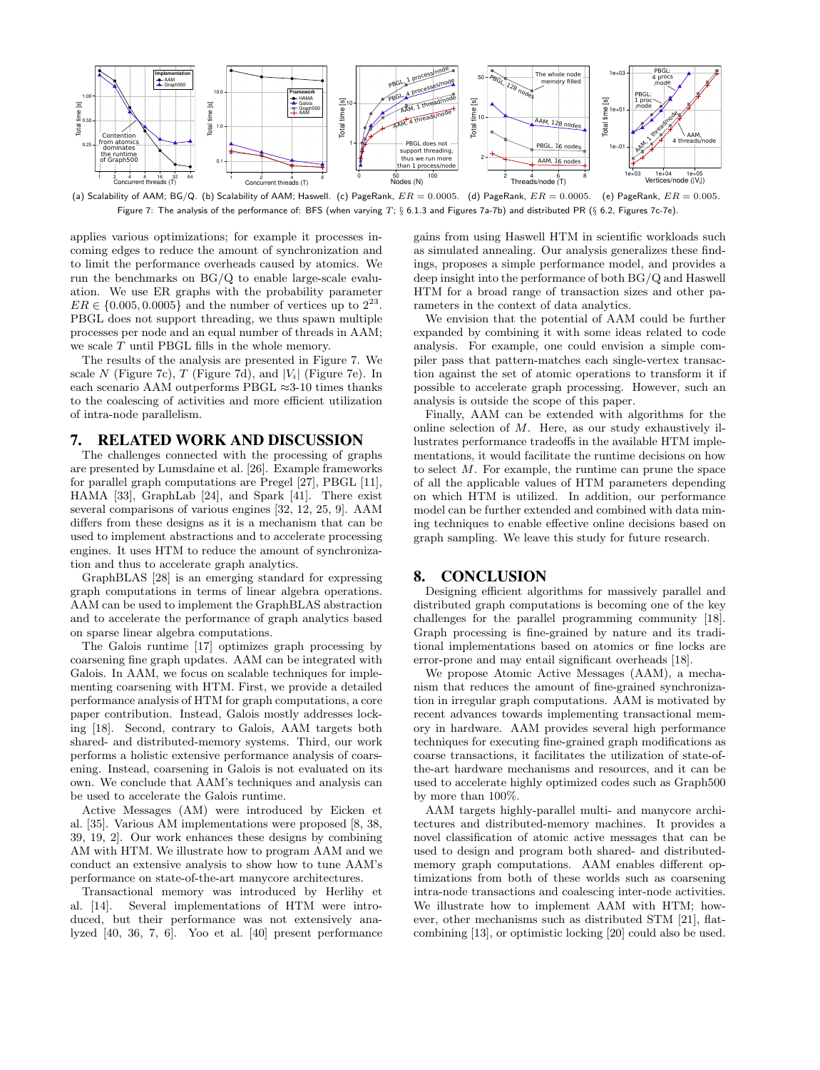

(a) Scalability of AAM; BG/Q. (b) Scalability of AAM; Haswell. (c) PageRank,  $ER=0.0005.$  (d) PageRank,  $ER=0.0005.$  (e) PageRank,  $ER=0.0005.$ Figure 7: The analysis of the performance of: BFS (when varying  $T$ ; § 6.1.3 and Figures 7a-7b) and distributed PR (§ 6.2, Figures 7c-7e).

applies various optimizations; for example it processes incoming edges to reduce the amount of synchronization and to limit the performance overheads caused by atomics. We run the benchmarks on BG/Q to enable large-scale evaluation. We use ER graphs with the probability parameter  $ER \in \{0.005, 0.0005\}$  and the number of vertices up to  $2^{23}$ . PBGL does not support threading, we thus spawn multiple processes per node and an equal number of threads in AAM; we scale T until PBGL fills in the whole memory.

The results of the analysis are presented in Figure 7. We scale N (Figure 7c), T (Figure 7d), and  $|V_i|$  (Figure 7e). In each scenario AAM outperforms PBGL  $\approx$ 3-10 times thanks to the coalescing of activities and more efficient utilization of intra-node parallelism.

# 7. RELATED WORK AND DISCUSSION

The challenges connected with the processing of graphs are presented by Lumsdaine et al. [26]. Example frameworks for parallel graph computations are Pregel [27], PBGL [11], HAMA [33], GraphLab [24], and Spark [41]. There exist several comparisons of various engines [32, 12, 25, 9]. AAM differs from these designs as it is a mechanism that can be used to implement abstractions and to accelerate processing engines. It uses HTM to reduce the amount of synchronization and thus to accelerate graph analytics.

GraphBLAS [28] is an emerging standard for expressing graph computations in terms of linear algebra operations. AAM can be used to implement the GraphBLAS abstraction and to accelerate the performance of graph analytics based on sparse linear algebra computations.

The Galois runtime [17] optimizes graph processing by coarsening fine graph updates. AAM can be integrated with Galois. In AAM, we focus on scalable techniques for implementing coarsening with HTM. First, we provide a detailed performance analysis of HTM for graph computations, a core paper contribution. Instead, Galois mostly addresses locking [18]. Second, contrary to Galois, AAM targets both shared- and distributed-memory systems. Third, our work performs a holistic extensive performance analysis of coarsening. Instead, coarsening in Galois is not evaluated on its own. We conclude that AAM's techniques and analysis can be used to accelerate the Galois runtime.

Active Messages (AM) were introduced by Eicken et al. [35]. Various AM implementations were proposed [8, 38, 39, 19, 2]. Our work enhances these designs by combining AM with HTM. We illustrate how to program AAM and we conduct an extensive analysis to show how to tune AAM's performance on state-of-the-art manycore architectures.

Transactional memory was introduced by Herlihy et al. [14]. Several implementations of HTM were introduced, but their performance was not extensively analyzed [40, 36, 7, 6]. Yoo et al. [40] present performance gains from using Haswell HTM in scientific workloads such as simulated annealing. Our analysis generalizes these findings, proposes a simple performance model, and provides a deep insight into the performance of both BG/Q and Haswell HTM for a broad range of transaction sizes and other parameters in the context of data analytics.

We envision that the potential of AAM could be further expanded by combining it with some ideas related to code analysis. For example, one could envision a simple compiler pass that pattern-matches each single-vertex transaction against the set of atomic operations to transform it if possible to accelerate graph processing. However, such an analysis is outside the scope of this paper.

Finally, AAM can be extended with algorithms for the online selection of M. Here, as our study exhaustively illustrates performance tradeoffs in the available HTM implementations, it would facilitate the runtime decisions on how to select M. For example, the runtime can prune the space of all the applicable values of HTM parameters depending on which HTM is utilized. In addition, our performance model can be further extended and combined with data mining techniques to enable effective online decisions based on graph sampling. We leave this study for future research.

## 8. CONCLUSION

Designing efficient algorithms for massively parallel and distributed graph computations is becoming one of the key challenges for the parallel programming community [18]. Graph processing is fine-grained by nature and its traditional implementations based on atomics or fine locks are error-prone and may entail significant overheads [18].

We propose Atomic Active Messages (AAM), a mechanism that reduces the amount of fine-grained synchronization in irregular graph computations. AAM is motivated by recent advances towards implementing transactional memory in hardware. AAM provides several high performance techniques for executing fine-grained graph modifications as coarse transactions, it facilitates the utilization of state-ofthe-art hardware mechanisms and resources, and it can be used to accelerate highly optimized codes such as Graph500 by more than 100%.

AAM targets highly-parallel multi- and manycore architectures and distributed-memory machines. It provides a novel classification of atomic active messages that can be used to design and program both shared- and distributedmemory graph computations. AAM enables different optimizations from both of these worlds such as coarsening intra-node transactions and coalescing inter-node activities. We illustrate how to implement AAM with HTM; however, other mechanisms such as distributed STM [21], flatcombining [13], or optimistic locking [20] could also be used.